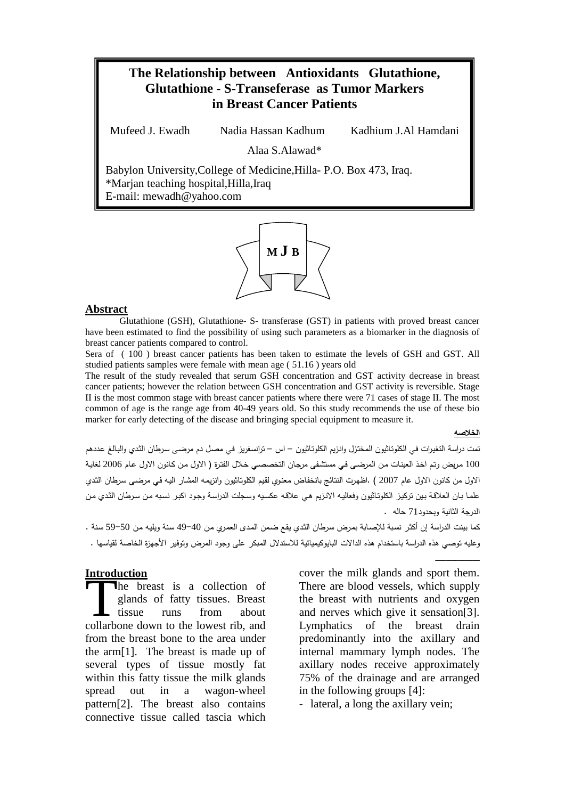# **The Relationship between Antioxidants Glutathione, Glutathione - S-Transeferase as Tumor Markers in Breast Cancer Patients**

Mufeed J. Ewadh Nadia Hassan Kadhum Kadhium J.Al Hamdani

Alaa S.Alawad\*

Babylon University,College of Medicine,Hilla- P.O. Box 473, Iraq. \*Marjan teaching hospital,Hilla,Iraq E-mail: mewadh@yahoo.com



#### Abstract

Glutathione (GSH), Glutathione- S- transferase (GST) in patients with proved breast cancer have been estimated to find the possibility of using such parameters as a biomarker in the diagnosis of breast cancer patients compared to control.

Sera of ( 100 ) breast cancer patients has been taken to estimate the levels of GSH and GST. All studied patients samples were female with mean age ( 51.16 ) years old

The result of the study revealed that serum GSH concentration and GST activity decrease in breast cancer patients; however the relation between GSH concentration and GST activity is reversible. Stage II is the most common stage with breast cancer patients where there were 71 cases of stage II. The most common of age is the range age from 40-49 years old. So this study recommends the use of these bio marker for early detecting of the disease and bringing special equipment to measure it.

*<sup>U</sup>***الخلاصه**

ـــــــــــــــــــــــــــــــــــــــــــــــــــــــــــــــــ

تمت دراسة التغيـرات فـي الكلوتـاثيون المختـزل وانـزيم الكلوتـاثيون – اس – ترانسـفريز فـي مصـل دم مرضـى سـرطان الثـدي والبـالغ عـددهم 100 مـريض وتـم اخـذ العينـات مـن المرضـى فـي مستشـفى مرجـان التخصصـي خـلال الفتـرة ( الاول مـن كـانون الاول عـام 2006 لغايـة الاول من كانون الاول عام 2007 ) .اظهـرت النتـائج بانخفـاض معنـوي لقـيم الكلوتـاثيون وانزيمـه المشـار اليـه فـي مرضـى سـرطان الثـدي علمـا بـان العلاقـة بـين تركيـز الكلوتـاثيون وفعاليـه الانـزيم هـي علاقـه عكسـيه وسـجلت الدراسـة وجـود اكبـر نسـبه مـن سـرطان الثـدي مـن الدرجة الثانية وبحدود71 حاله .

كما بينت الدراسة إن أكثـر نسـبة للإصـابة بمـرض سـرطان الثـدي يقـع ضـمن المـدى العمـري مـن 49-40 سـنة ويليـه مـن 59-50 سـنة . وعليه توصي هذه الدراسة باستخدام هذه الدالات البايوكيميائية للاستدلال المبكر على وجود المرض وتوفير الأجهزة الخاصة لقياسها .

#### *<sup>U</sup>***Introduction**

he breast is a collection of glands of fatty tissues. Breast tissue runs from about The breast is a collection of glands of fatty tissues. Breast tissue runs from about collarbone down to the lowest rib, and from the breast bone to the area under the arm[1]. The breast is made up of several types of tissue mostly fat within this fatty tissue the milk glands spread out in a wagon-wheel pattern[2]. The breast also contains connective tissue called tascia which

cover the milk glands and sport them. There are blood vessels, which supply the breast with nutrients and oxygen and nerves which give it sensation[3]. Lymphatics of the breast drain predominantly into the axillary and internal mammary lymph nodes. The axillary nodes receive approximately 75% of the drainage and are arranged in the following groups [4]:

- lateral, a long the axillary vein;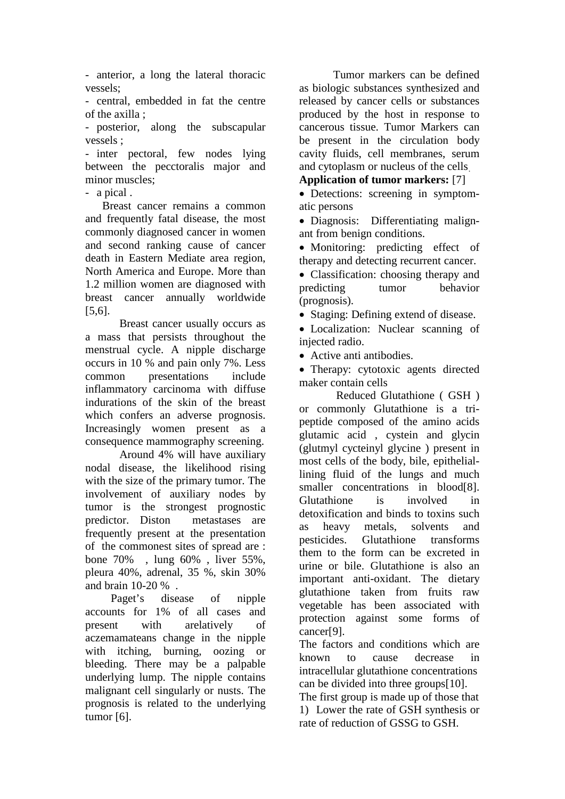- anterior, a long the lateral thoracic vessels;

- central, embedded in fat the centre of the axilla ;

- posterior, along the subscapular vessels ;

- inter pectoral, few nodes lying between the pecctoralis major and minor muscles;

- a pical .

 Breast cancer remains a common and frequently fatal disease, the most commonly diagnosed cancer in women and second ranking cause of cancer death in Eastern Mediate area region, North America and Europe. More than 1.2 million women are diagnosed with breast cancer annually worldwide [5,6].

Breast cancer usually occurs as a mass that persists throughout the menstrual cycle. A nipple discharge occurs in 10 % and pain only 7%. Less common presentations include inflammatory carcinoma with diffuse indurations of the skin of the breast which confers an adverse prognosis. Increasingly women present as a consequence mammography screening.

Around 4% will have auxiliary nodal disease, the likelihood rising with the size of the primary tumor. The involvement of auxiliary nodes by tumor is the strongest prognostic predictor. Diston metastases are frequently present at the presentation of the commonest sites of spread are : bone 70% , lung 60% , liver 55%, pleura 40%, adrenal, 35 %, skin 30% and brain 10-20 % .

 Paget's disease of nipple accounts for 1% of all cases and present with arelatively of aczemamateans change in the nipple with itching, burning, oozing or bleeding. There may be a palpable underlying lump. The nipple contains malignant cell singularly or nusts. The prognosis is related to the underlying tumor [6].

Tumor markers can be defined as biologic substances synthesized and released by cancer cells or substances produced by the host in response to cancerous tissue. Tumor Markers can be present in the circulation body cavity fluids, cell membranes, serum and cytoplasm or nucleus of the cells.

**Application of tumor markers:** [7]

• Detections: screening in symptomatic persons

• Diagnosis: Differentiating malignant from benign conditions.

• Monitoring: predicting effect of therapy and detecting recurrent cancer.

• Classification: choosing therapy and predicting tumor behavior (prognosis).

• Staging: Defining extend of disease.

• Localization: Nuclear scanning of injected radio.

• Active anti antibodies.

• Therapy: cytotoxic agents directed maker contain cells

Reduced Glutathione ( GSH ) or commonly Glutathione is a tripeptide composed of the amino acids glutamic acid , cystein and glycin (glutmyl cycteinyl glycine ) present in most cells of the body, bile, epitheliallining fluid of the lungs and much smaller concentrations in blood[8]. Glutathione is involved in detoxification and binds to toxins such as heavy metals, solvents and pesticides. Glutathione transforms them to the form can be excreted in urine or bile. Glutathione is also an important anti-oxidant. The dietary glutathione taken from fruits raw vegetable has been associated with protection against some forms of cancer[9].

The factors and conditions which are known to cause decrease in intracellular glutathione concentrations can be divided into three groups[10].

The first group is made up of those that 1) Lower the rate of GSH synthesis or rate of reduction of GSSG to GSH.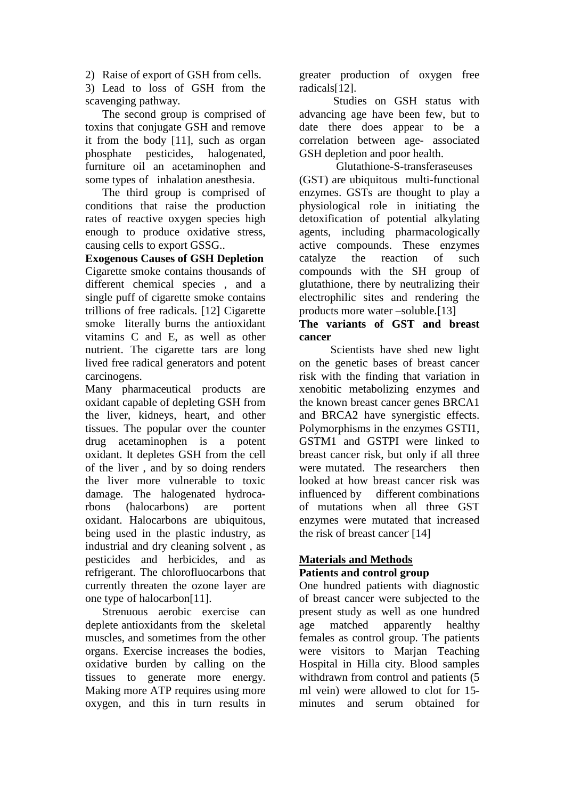2) Raise of export of GSH from cells.

3) Lead to loss of GSH from the scavenging pathway.

 The second group is comprised of toxins that conjugate GSH and remove it from the body [11], such as organ phosphate pesticides, halogenated, furniture oil an acetaminophen and some types of inhalation anesthesia.

 The third group is comprised of conditions that raise the production rates of reactive oxygen species high enough to produce oxidative stress, causing cells to export GSSG..

**Exogenous Causes of GSH Depletion**  Cigarette smoke contains thousands of different chemical species , and a single puff of cigarette smoke contains trillions of free radicals. [12] Cigarette smoke literally burns the antioxidant vitamins C and E, as well as other nutrient. The cigarette tars are long lived free radical generators and potent carcinogens.

Many pharmaceutical products are oxidant capable of depleting GSH from the liver, kidneys, heart, and other tissues. The popular over the counter drug acetaminophen is a potent oxidant. It depletes GSH from the cell of the liver , and by so doing renders the liver more vulnerable to toxic damage. The halogenated hydrocarbons (halocarbons) are portent oxidant. Halocarbons are ubiquitous, being used in the plastic industry, as industrial and dry cleaning solvent , as pesticides and herbicides, and as refrigerant. The chlorofluocarbons that currently threaten the ozone layer are one type of halocarbon[11].

Strenuous aerobic exercise can deplete antioxidants from the skeletal muscles, and sometimes from the other organs. Exercise increases the bodies, oxidative burden by calling on the tissues to generate more energy. Making more ATP requires using more oxygen, and this in turn results in

greater production of oxygen free radicals[12].

Studies on GSH status with advancing age have been few, but to date there does appear to be a correlation between age- associated GSH depletion and poor health.

 Glutathione-S-transferaseuses (GST) are ubiquitous multi-functional enzymes. GSTs are thought to play a physiological role in initiating the detoxification of potential alkylating agents, including pharmacologically active compounds. These enzymes catalyze the reaction of such compounds with the SH group of glutathione, there by neutralizing their electrophilic sites and rendering the products more water –soluble.[13]

### **The variants of GST and breast cancer**

 Scientists have shed new light on the genetic bases of breast cancer risk with the finding that variation in xenobitic metabolizing enzymes and the known breast cancer genes BRCA1 and BRCA2 have synergistic effects. Polymorphisms in the enzymes GSTI1, GSTM1 and GSTPI were linked to breast cancer risk, but only if all three were mutated. The researchers then looked at how breast cancer risk was influenced by different combinations of mutations when all three GST enzymes were mutated that increased the risk of breast cancer<sup>[14]</sup>

## *<sup>U</sup>***Materials and Methods Patients and control group**

One hundred patients with diagnostic of breast cancer were subjected to the present study as well as one hundred age matched apparently healthy females as control group. The patients were visitors to Marjan Teaching Hospital in Hilla city. Blood samples withdrawn from control and patients (5 ml vein) were allowed to clot for 15 minutes and serum obtained for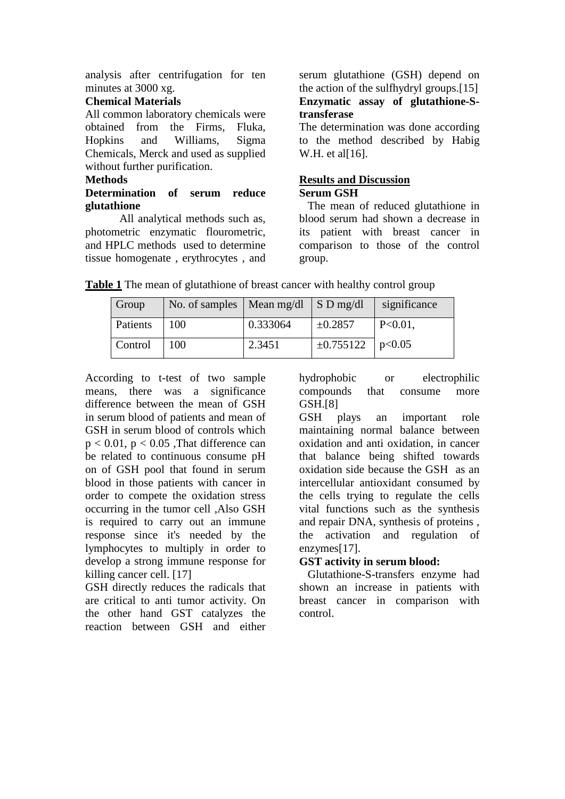analysis after centrifugation for ten minutes at 3000 xg.

### **Chemical Materials**

All common laboratory chemicals were obtained from the Firms, Fluka, Hopkins and Williams, Sigma Chemicals, Merck and used as supplied without further purification.

### **Methods**

## **Determination of serum reduce glutathione**

All analytical methods such as, photometric enzymatic flourometric, and HPLC methods used to determine tissue homogenate , erythrocytes , and

serum glutathione (GSH) depend on the action of the sulfhydryl groups.[15] **Enzymatic assay of glutathione-Stransferase** 

The determination was done according to the method described by Habig W.H. et al[16].

### **Results and Discussion Serum GSH**

 The mean of reduced glutathione in blood serum had shown a decrease in its patient with breast cancer in comparison to those of the control group.

| Group    | No. of samples   Mean mg/dl |          | $S$ D mg/dl             | significance |
|----------|-----------------------------|----------|-------------------------|--------------|
| Patients | 100                         | 0.333064 | $\pm 0.2857$            | $P<0.01$ ,   |
| Control  | 100                         | 2.3451   | $\pm 0.755122$   p<0.05 |              |

**Table 1** The mean of glutathione of breast cancer with healthy control group

According to t-test of two sample means, there was a significance difference between the mean of GSH in serum blood of patients and mean of GSH in serum blood of controls which  $p < 0.01$ ,  $p < 0.05$  , That difference can be related to continuous consume pH on of GSH pool that found in serum blood in those patients with cancer in order to compete the oxidation stress occurring in the tumor cell ,Also GSH is required to carry out an immune response since it's needed by the lymphocytes to multiply in order to develop a strong immune response for killing cancer cell. [17]

GSH directly reduces the radicals that are critical to anti tumor activity. On the other hand GST catalyzes the reaction between GSH and either

hydrophobic or electrophilic compounds that consume more GSH.[8]

GSH plays an important role maintaining normal balance between oxidation and anti oxidation, in cancer that balance being shifted towards oxidation side because the GSH as an intercellular antioxidant consumed by the cells trying to regulate the cells vital functions such as the synthesis and repair DNA, synthesis of proteins , the activation and regulation of enzymes[17].

## **GST activity in serum blood:**

 Glutathione-S-transfers enzyme had shown an increase in patients with breast cancer in comparison with control.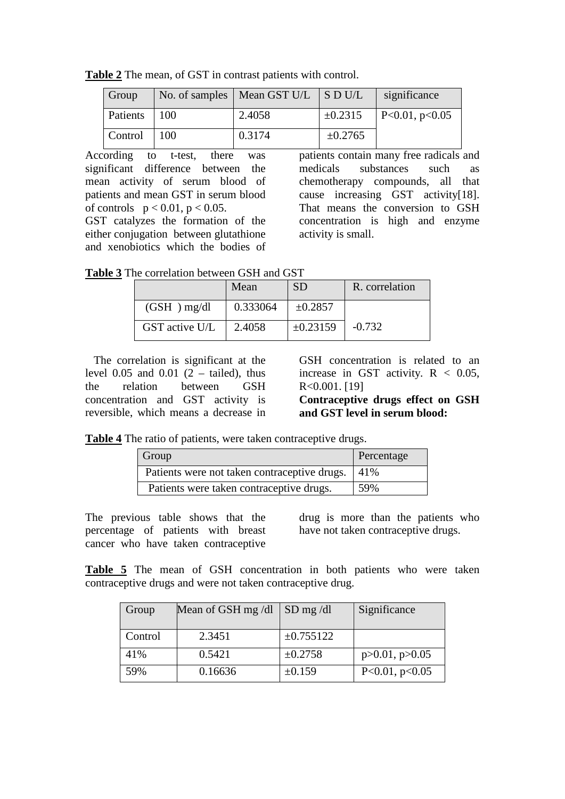**Table 2** The mean, of GST in contrast patients with control.

| Group        |             | No. of samples   Mean GST U/L $\parallel$ S D U/L |              | significance           |
|--------------|-------------|---------------------------------------------------|--------------|------------------------|
| Patients 100 |             | 2.4058                                            | $\pm 0.2315$ | $\vert$ P<0.01, p<0.05 |
| Control      | $\vert$ 100 | 0.3174                                            | $\pm 0.2765$ |                        |

According to t-test, there was significant difference between the mean activity of serum blood of patients and mean GST in serum blood of controls  $p < 0.01$ ,  $p < 0.05$ .

GST catalyzes the formation of the either conjugation between glutathione and xenobiotics which the bodies of

patients contain many free radicals and medicals substances such as chemotherapy compounds, all that cause increasing GST activity[18]. That means the conversion to GSH concentration is high and enzyme activity is small.

**Table 3** The correlation between GSH and GST

|                | Mean     | <b>SD</b>     | R. correlation |
|----------------|----------|---------------|----------------|
| $(GSH)$ mg/dl  | 0.333064 | $\pm 0.2857$  |                |
| GST active U/L | 2.4058   | $\pm 0.23159$ | $-0.732$       |

 The correlation is significant at the level 0.05 and 0.01  $(2 - \text{tailed})$ , thus the relation between GSH concentration and GST activity is reversible, which means a decrease in GSH concentration is related to an increase in GST activity.  $R < 0.05$ , R<0.001. [19]

**Contraceptive drugs effect on GSH and GST level in serum blood:**

**Table 4** The ratio of patients, were taken contraceptive drugs.

| Group                                        | Percentage |
|----------------------------------------------|------------|
| Patients were not taken contraceptive drugs. | 41\%       |
| Patients were taken contraceptive drugs.     | 59%        |

The previous table shows that the percentage of patients with breast cancer who have taken contraceptive drug is more than the patients who have not taken contraceptive drugs.

**Table 5** The mean of GSH concentration in both patients who were taken contraceptive drugs and were not taken contraceptive drug.

| Group   | Mean of GSH mg/dl | $SD$ mg /dl    | Significance            |
|---------|-------------------|----------------|-------------------------|
| Control | 2.3451            | $\pm 0.755122$ |                         |
| 41%     | 0.5421            | $\pm 0.2758$   | $p > 0.01$ , $p > 0.05$ |
| 59%     | 0.16636           | ±0.159         | P<0.01, p<0.05          |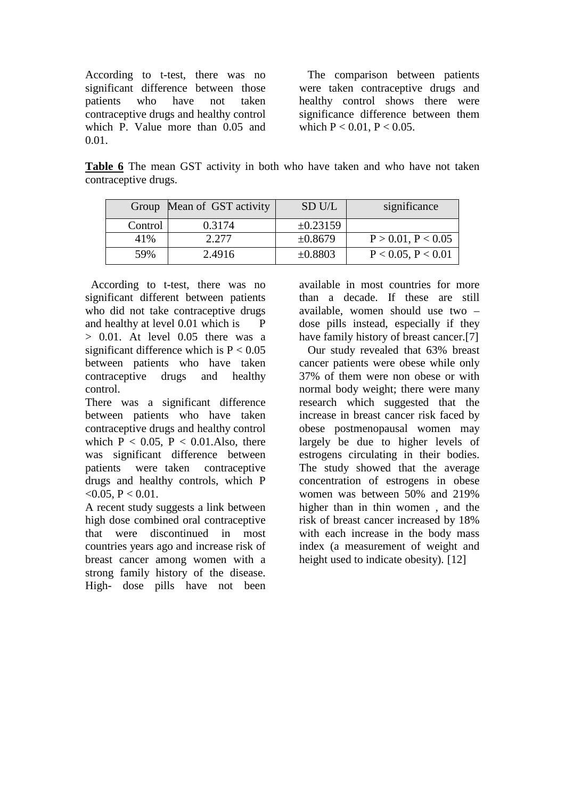According to t-test, there was no significant difference between those patients who have not taken contraceptive drugs and healthy control which P. Value more than 0.05 and 0.01.

 The comparison between patients were taken contraceptive drugs and healthy control shows there were significance difference between them which  $P < 0.01$ ,  $P < 0.05$ .

**Table 6** The mean GST activity in both who have taken and who have not taken contraceptive drugs.

|         | Group Mean of GST activity | SD U/L        | significance            |
|---------|----------------------------|---------------|-------------------------|
| Control | 0.3174                     | $\pm 0.23159$ |                         |
| 41%     | 2.277                      | ±0.8679       | $P > 0.01$ , $P < 0.05$ |
| 59%     | 2.4916                     | $\pm 0.8803$  | P < 0.05, P < 0.01      |

 According to t-test, there was no significant different between patients who did not take contraceptive drugs and healthy at level 0.01 which is P > 0.01. At level 0.05 there was a significant difference which is  $P < 0.05$ between patients who have taken contraceptive drugs and healthy control.

There was a significant difference between patients who have taken contraceptive drugs and healthy control which  $P < 0.05$ ,  $P < 0.01$ . Also, there was significant difference between patients were taken contraceptive drugs and healthy controls, which P <0.05, P < 0.01.

A recent study suggests a link between high dose combined oral contraceptive that were discontinued in most countries years ago and increase risk of breast cancer among women with a strong family history of the disease. High- dose pills have not been

available in most countries for more than a decade. If these are still available, women should use two – dose pills instead, especially if they have family history of breast cancer.[7]

 Our study revealed that 63% breast cancer patients were obese while only 37% of them were non obese or with normal body weight; there were many research which suggested that the increase in breast cancer risk faced by obese postmenopausal women may largely be due to higher levels of estrogens circulating in their bodies. The study showed that the average concentration of estrogens in obese women was between 50% and 219% higher than in thin women , and the risk of breast cancer increased by 18% with each increase in the body mass index (a measurement of weight and height used to indicate obesity). [12]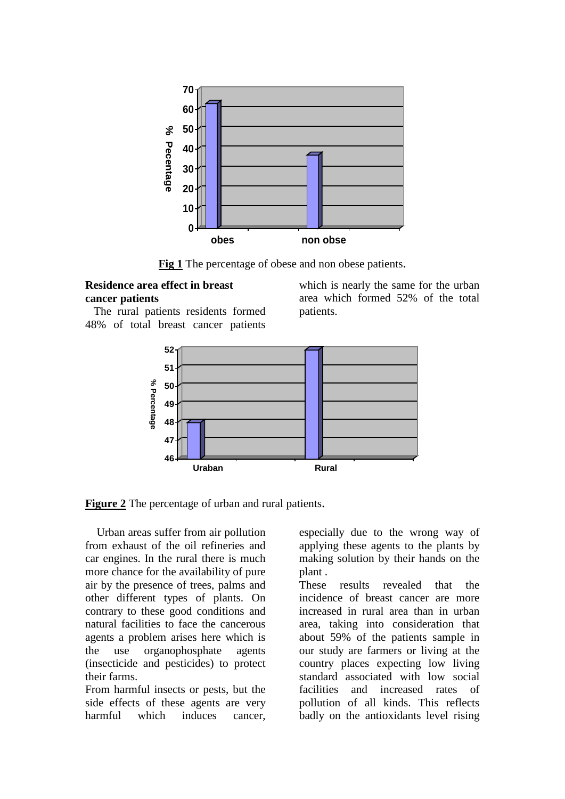

**Fig 1** The percentage of obese and non obese patients.

### **Residence area effect in breast cancer patients**

 The rural patients residents formed 48% of total breast cancer patients

which is nearly the same for the urban area which formed 52% of the total patients.



**Figure 2** The percentage of urban and rural patients.

 Urban areas suffer from air pollution from exhaust of the oil refineries and car engines. In the rural there is much more chance for the availability of pure air by the presence of trees, palms and other different types of plants. On contrary to these good conditions and natural facilities to face the cancerous agents a problem arises here which is the use organophosphate agents (insecticide and pesticides) to protect their farms.

From harmful insects or pests, but the side effects of these agents are very harmful which induces cancer,

especially due to the wrong way of applying these agents to the plants by making solution by their hands on the plant .

These results revealed that the incidence of breast cancer are more increased in rural area than in urban area, taking into consideration that about 59% of the patients sample in our study are farmers or living at the country places expecting low living standard associated with low social facilities and increased rates of pollution of all kinds. This reflects badly on the antioxidants level rising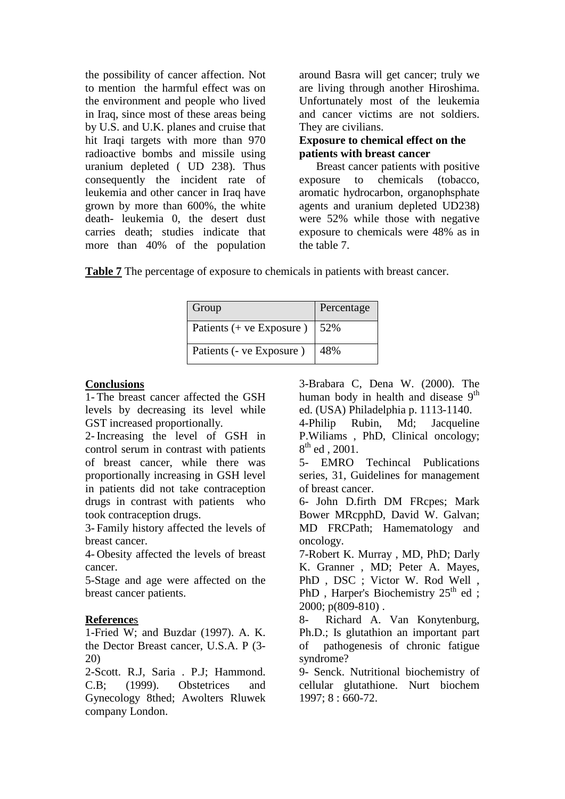the possibility of cancer affection. Not to mention the harmful effect was on the environment and people who lived in Iraq, since most of these areas being by U.S. and U.K. planes and cruise that hit Iraqi targets with more than 970 radioactive bombs and missile using uranium depleted ( UD 238). Thus consequently the incident rate of leukemia and other cancer in Iraq have grown by more than 600%, the white death- leukemia 0, the desert dust carries death; studies indicate that more than 40% of the population

around Basra will get cancer; truly we are living through another Hiroshima. Unfortunately most of the leukemia and cancer victims are not soldiers. They are civilians.

### **Exposure to chemical effect on the patients with breast cancer**

 Breast cancer patients with positive exposure to chemicals (tobacco, aromatic hydrocarbon, organophsphate agents and uranium depleted UD238) were 52% while those with negative exposure to chemicals were 48% as in the table 7.

**Table 7** The percentage of exposure to chemicals in patients with breast cancer.

| Group                      | Percentage |
|----------------------------|------------|
| Patients $(+$ ve Exposure) | 152%       |
| Patients (- ve Exposure)   | 48%        |

### **Conclusions**

1- The breast cancer affected the GSH levels by decreasing its level while GST increased proportionally.

2- Increasing the level of GSH in control serum in contrast with patients of breast cancer, while there was proportionally increasing in GSH level in patients did not take contraception drugs in contrast with patients who took contraception drugs.

3- Family history affected the levels of breast cancer.

4- Obesity affected the levels of breast cancer.

5-Stage and age were affected on the breast cancer patients.

### **Reference**s

1-Fried W; and Buzdar (1997). A. K. the Dector Breast cancer, U.S.A. P (3- 20)

2-Scott. R.J, Saria . P.J; Hammond. C.B; (1999). Obstetrices and Gynecology 8thed; Awolters Rluwek company London.

3-Brabara C, Dena W. (2000). The human body in health and disease  $9<sup>th</sup>$ ed. (USA) Philadelphia p. 1113-1140.

4-Philip Rubin, Md; Jacqueline P.Wiliams , PhD, Clinical oncology;  $8^{th}$  ed , 2001.

5- EMRO Techincal Publications series, 31, Guidelines for management of breast cancer.

6- John D.firth DM FRcpes; Mark Bower MRcpphD, David W. Galvan; MD FRCPath; Hamematology and oncology.

7-Robert K. Murray , MD, PhD; Darly K. Granner , MD; Peter A. Mayes, PhD , DSC ; Victor W. Rod Well , PhD, Harper's Biochemistry  $25<sup>th</sup>$  ed; 2000; p(809-810) .

8- Richard A. Van Konytenburg, Ph.D.; Is glutathion an important part of pathogenesis of chronic fatigue syndrome?

9- Senck. Nutritional biochemistry of cellular glutathione. Nurt biochem 1997; 8 : 660-72.